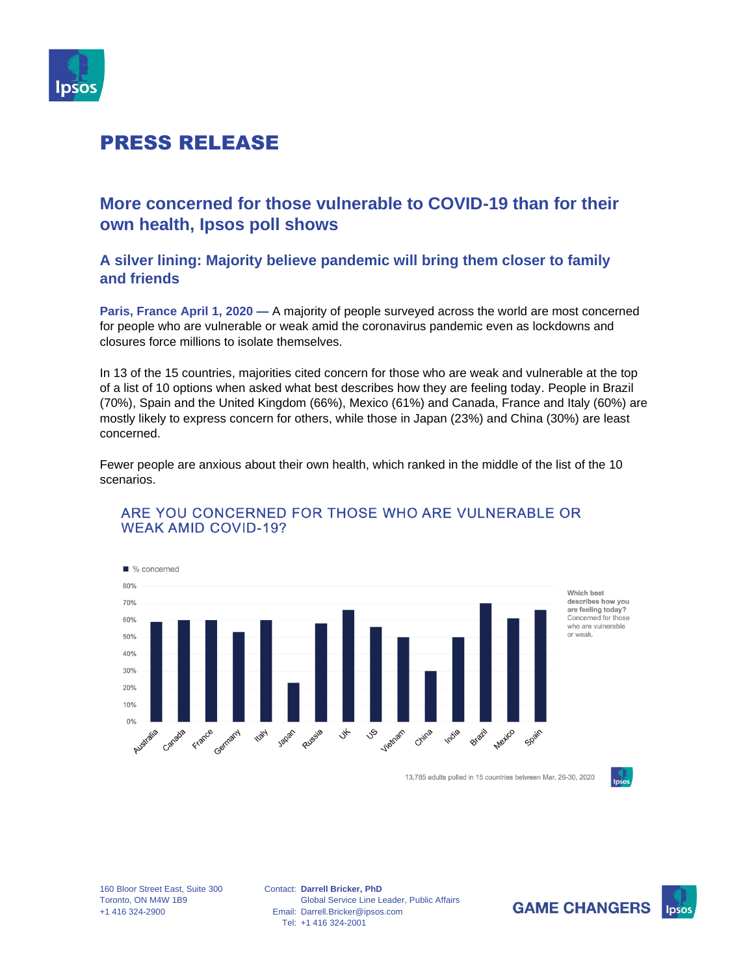

### **More concerned for those vulnerable to COVID-19 than for their own health, Ipsos poll shows**

**A silver lining: Majority believe pandemic will bring them closer to family and friends**

**Paris, France April 1, 2020 —** A majority of people surveyed across the world are most concerned for people who are vulnerable or weak amid the coronavirus pandemic even as lockdowns and closures force millions to isolate themselves.

In 13 of the 15 countries, majorities cited concern for those who are weak and vulnerable at the top of a list of 10 options when asked what best describes how they are feeling today. People in Brazil (70%), Spain and the United Kingdom (66%), Mexico (61%) and Canada, France and Italy (60%) are mostly likely to express concern for others, while those in Japan (23%) and China (30%) are least concerned.

Fewer people are anxious about their own health, which ranked in the middle of the list of the 10 scenarios.



#### ARE YOU CONCERNED FOR THOSE WHO ARE VULNERABLE OR **WEAK AMID COVID-19?**

13,785 adults polled in 15 countries between Mar. 26-30, 2020



160 Bloor Street East, Suite 300 Toronto, ON M4W 1B9 +1 416 324-2900

Contact: **Darrell Bricker, PhD** Email: Darrell.Bricker@ipsos.com Tel: +1 416 324-2001 Global Service Line Leader, Public Affairs



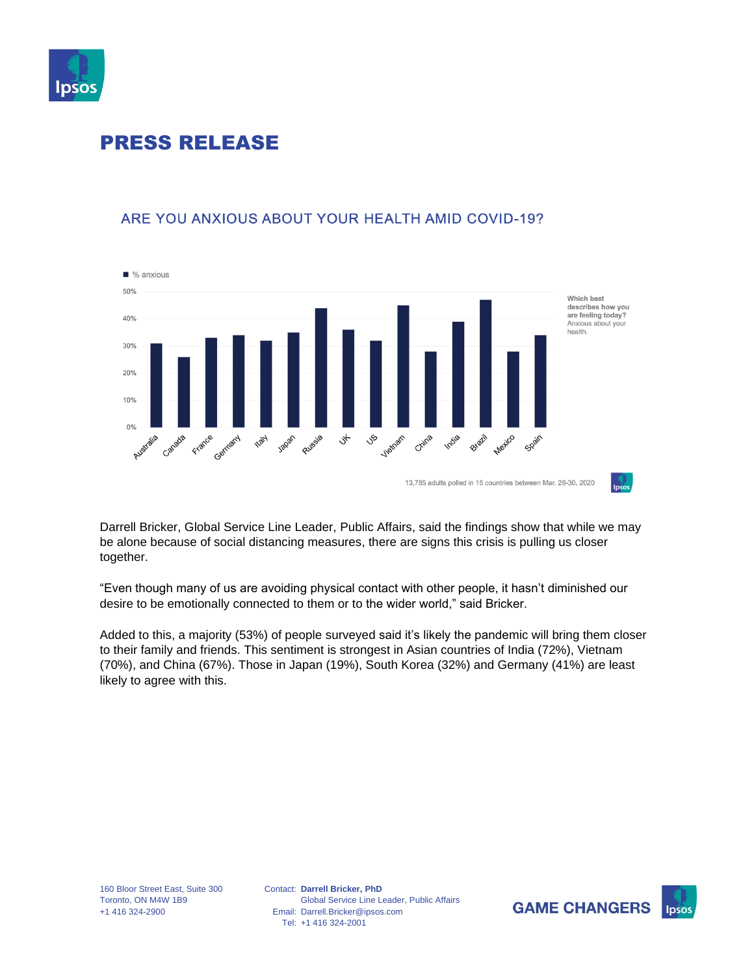



### ARE YOU ANXIOUS ABOUT YOUR HEALTH AMID COVID-19?

Darrell Bricker, Global Service Line Leader, Public Affairs, said the findings show that while we may be alone because of social distancing measures, there are signs this crisis is pulling us closer together.

"Even though many of us are avoiding physical contact with other people, it hasn't diminished our desire to be emotionally connected to them or to the wider world," said Bricker.

Added to this, a majority (53%) of people surveyed said it's likely the pandemic will bring them closer to their family and friends. This sentiment is strongest in Asian countries of India (72%), Vietnam (70%), and China (67%). Those in Japan (19%), South Korea (32%) and Germany (41%) are least likely to agree with this.



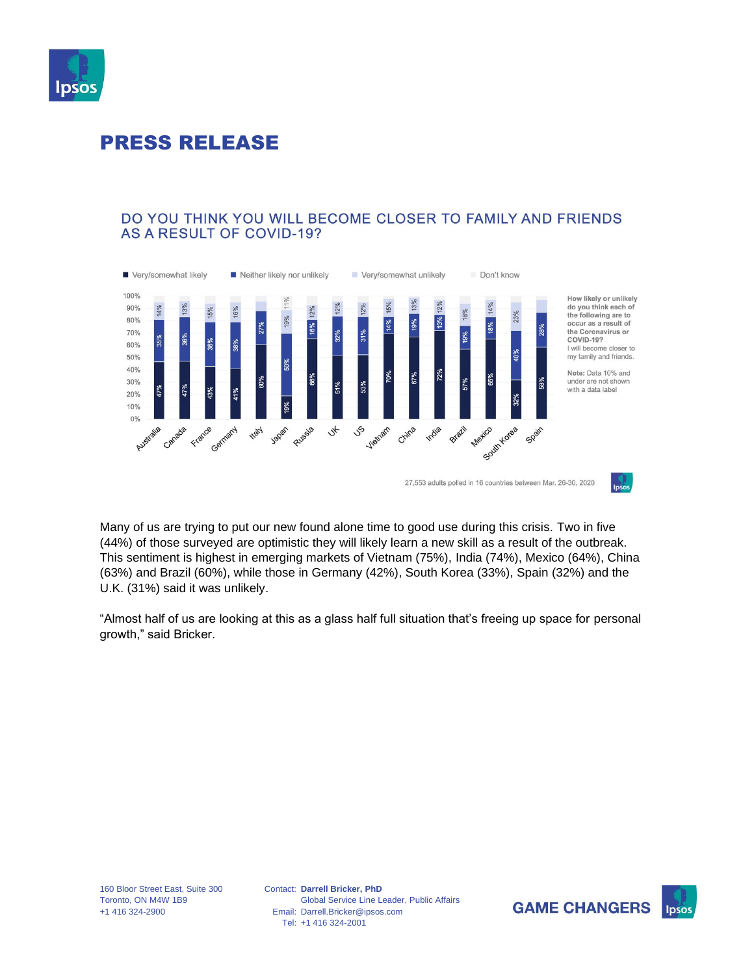

#### DO YOU THINK YOU WILL BECOME CLOSER TO FAMILY AND FRIENDS **AS A RESULT OF COVID-19?**



Many of us are trying to put our new found alone time to good use during this crisis. Two in five (44%) of those surveyed are optimistic they will likely learn a new skill as a result of the outbreak. This sentiment is highest in emerging markets of Vietnam (75%), India (74%), Mexico (64%), China (63%) and Brazil (60%), while those in Germany (42%), South Korea (33%), Spain (32%) and the U.K. (31%) said it was unlikely.

"Almost half of us are looking at this as a glass half full situation that's freeing up space for personal growth," said Bricker.



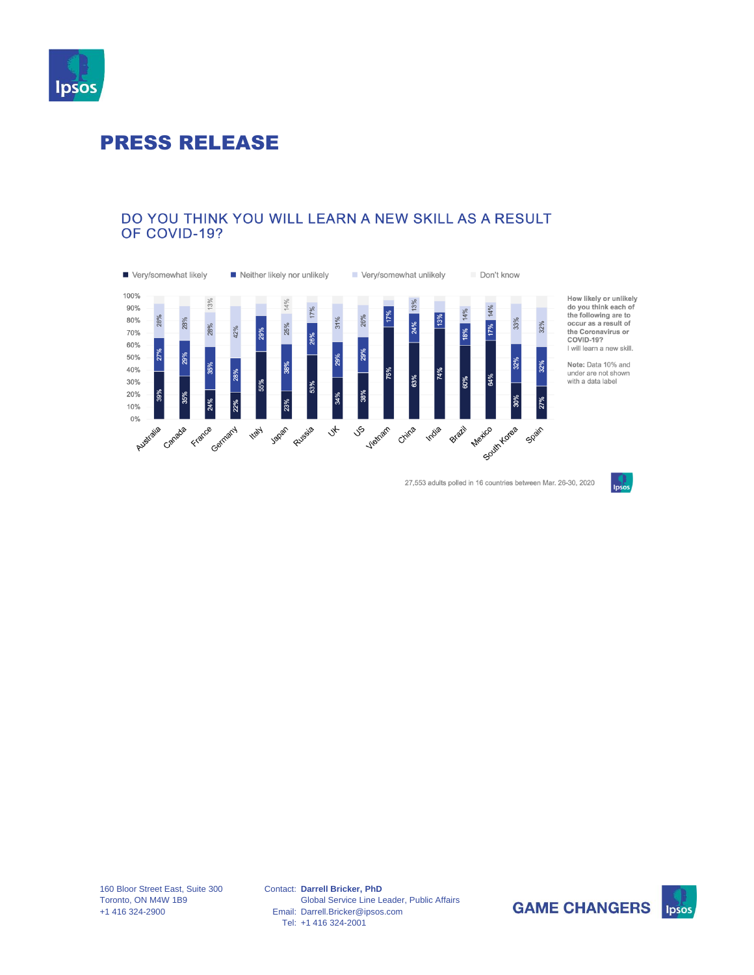

#### DO YOU THINK YOU WILL LEARN A NEW SKILL AS A RESULT OF COVID-19?



27,553 adults polled in 16 countries between Mar. 26-30, 2020